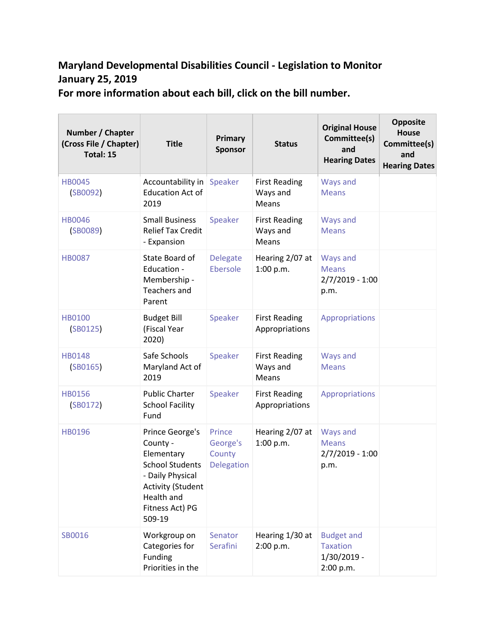## **Maryland Developmental Disabilities Council - Legislation to Monitor January 25, 2019**

**For more information about each bill, click on the bill number.**

| Number / Chapter<br>(Cross File / Chapter)<br>Total: 15 | <b>Title</b>                                                                                                                                                          | Primary<br><b>Sponsor</b>                         | <b>Status</b>                             | <b>Original House</b><br>Committee(s)<br>and<br><b>Hearing Dates</b> | <b>Opposite</b><br><b>House</b><br>Committee(s)<br>and<br><b>Hearing Dates</b> |
|---------------------------------------------------------|-----------------------------------------------------------------------------------------------------------------------------------------------------------------------|---------------------------------------------------|-------------------------------------------|----------------------------------------------------------------------|--------------------------------------------------------------------------------|
| <b>HB0045</b><br>(SB0092)                               | Accountability in Speaker<br><b>Education Act of</b><br>2019                                                                                                          |                                                   | <b>First Reading</b><br>Ways and<br>Means | Ways and<br><b>Means</b>                                             |                                                                                |
| <b>HB0046</b><br>(SB0089)                               | <b>Small Business</b><br><b>Relief Tax Credit</b><br>- Expansion                                                                                                      | Speaker                                           | <b>First Reading</b><br>Ways and<br>Means | <b>Ways and</b><br><b>Means</b>                                      |                                                                                |
| <b>HB0087</b>                                           | State Board of<br>Education -<br>Membership -<br><b>Teachers and</b><br>Parent                                                                                        | <b>Delegate</b><br>Ebersole                       | Hearing 2/07 at<br>1:00 p.m.              | Ways and<br><b>Means</b><br>$2/7/2019 - 1:00$<br>p.m.                |                                                                                |
| <b>HB0100</b><br>(SB0125)                               | <b>Budget Bill</b><br>(Fiscal Year<br>2020)                                                                                                                           | Speaker                                           | <b>First Reading</b><br>Appropriations    | Appropriations                                                       |                                                                                |
| <b>HB0148</b><br>(SB0165)                               | Safe Schools<br>Maryland Act of<br>2019                                                                                                                               | Speaker                                           | <b>First Reading</b><br>Ways and<br>Means | Ways and<br><b>Means</b>                                             |                                                                                |
| <b>HB0156</b><br>(SB0172)                               | <b>Public Charter</b><br><b>School Facility</b><br>Fund                                                                                                               | Speaker                                           | <b>First Reading</b><br>Appropriations    | Appropriations                                                       |                                                                                |
| HB0196                                                  | Prince George's<br>County -<br>Elementary<br><b>School Students</b><br>- Daily Physical<br><b>Activity (Student</b><br><b>Health and</b><br>Fitness Act) PG<br>509-19 | Prince<br>George's<br>County<br><b>Delegation</b> | Hearing 2/07 at<br>1:00 p.m.              | Ways and<br><b>Means</b><br>$2/7/2019 - 1:00$<br>p.m.                |                                                                                |
| SB0016                                                  | Workgroup on<br>Categories for<br>Funding<br>Priorities in the                                                                                                        | Senator<br>Serafini                               | Hearing 1/30 at<br>2:00 p.m.              | <b>Budget and</b><br><b>Taxation</b><br>$1/30/2019$ -<br>2:00 p.m.   |                                                                                |